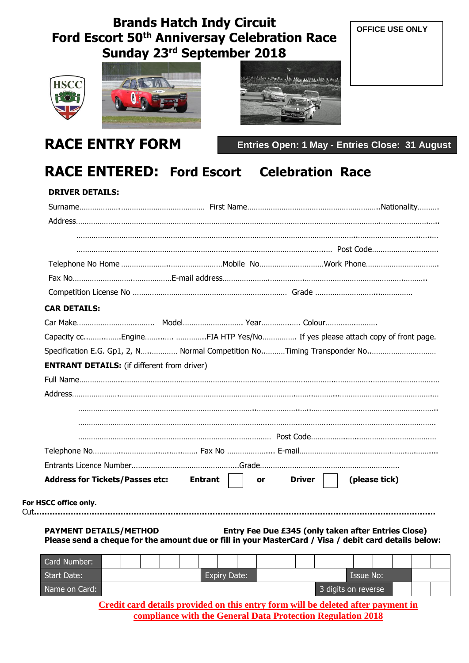# **Brands Hatch Indy Circuit Ford Escort 50th Anniversay Celebration Race Sunday 23 rd September 2018**



For



**RACE ENTRY FORM**



**OFFICE USE ONLY**

**Entries Open: 1 May - Entries Close: 31 August**

# **RACE ENTERED: Ford Escort Celebration Race**

| <b>DRIVER DETAILS:</b>                             |                                                                                                       |                                                                           |
|----------------------------------------------------|-------------------------------------------------------------------------------------------------------|---------------------------------------------------------------------------|
|                                                    |                                                                                                       |                                                                           |
|                                                    |                                                                                                       |                                                                           |
|                                                    |                                                                                                       |                                                                           |
|                                                    |                                                                                                       |                                                                           |
|                                                    |                                                                                                       |                                                                           |
|                                                    |                                                                                                       |                                                                           |
| <b>CAR DETAILS:</b>                                |                                                                                                       |                                                                           |
|                                                    |                                                                                                       |                                                                           |
|                                                    |                                                                                                       | Capacity ccEngine FIA HTP Yes/No If yes please attach copy of front page. |
|                                                    |                                                                                                       |                                                                           |
| <b>ENTRANT DETAILS:</b> (if different from driver) |                                                                                                       |                                                                           |
|                                                    |                                                                                                       |                                                                           |
|                                                    |                                                                                                       |                                                                           |
|                                                    |                                                                                                       |                                                                           |
|                                                    |                                                                                                       |                                                                           |
|                                                    |                                                                                                       |                                                                           |
|                                                    |                                                                                                       |                                                                           |
|                                                    |                                                                                                       |                                                                           |
| Address for Tickets/Passes etc: Entrant            | or                                                                                                    | (please tick)<br><b>Driver</b>                                            |
|                                                    |                                                                                                       |                                                                           |
| For HSCC office only.                              |                                                                                                       |                                                                           |
|                                                    |                                                                                                       |                                                                           |
|                                                    |                                                                                                       | Entry Fee Due £345 (only taken after Entries Close)                       |
| <b>PAYMENT DETAILS/METHOD</b>                      |                                                                                                       |                                                                           |
|                                                    | Please send a cheque for the amount due or fill in your MasterCard / Visa / debit card details below: |                                                                           |
| Card Number:                                       |                                                                                                       |                                                                           |
| <b>Start Date:</b>                                 | <b>Expiry Date:</b>                                                                                   | <b>Issue No:</b>                                                          |
| Name on Card:                                      |                                                                                                       | 3 digits on reverse                                                       |